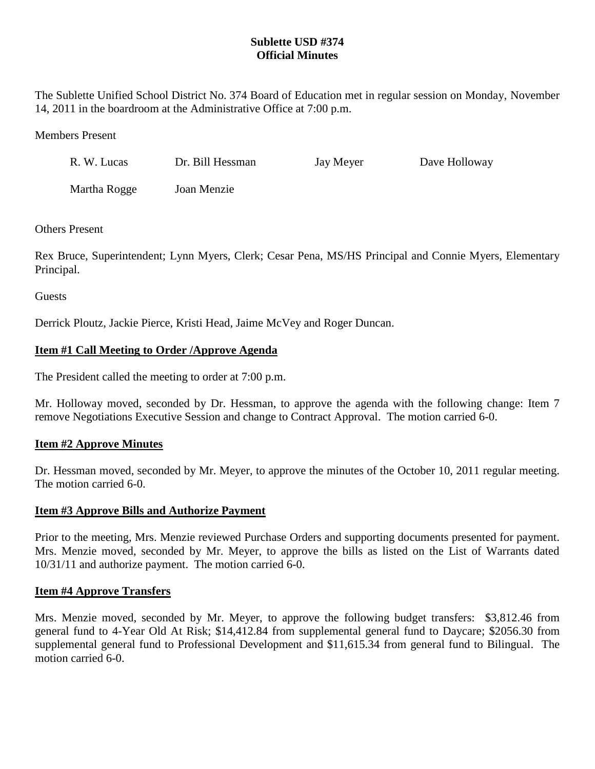# **Sublette USD #374 Official Minutes**

The Sublette Unified School District No. 374 Board of Education met in regular session on Monday, November 14, 2011 in the boardroom at the Administrative Office at 7:00 p.m.

#### Members Present

| R. W. Lucas  | Dr. Bill Hessman | Jay Meyer | Dave Holloway |
|--------------|------------------|-----------|---------------|
| Martha Rogge | Joan Menzie      |           |               |

### Others Present

Rex Bruce, Superintendent; Lynn Myers, Clerk; Cesar Pena, MS/HS Principal and Connie Myers, Elementary Principal.

**Guests** 

Derrick Ploutz, Jackie Pierce, Kristi Head, Jaime McVey and Roger Duncan.

## **Item #1 Call Meeting to Order /Approve Agenda**

The President called the meeting to order at 7:00 p.m.

Mr. Holloway moved, seconded by Dr. Hessman, to approve the agenda with the following change: Item 7 remove Negotiations Executive Session and change to Contract Approval. The motion carried 6-0.

## **Item #2 Approve Minutes**

Dr. Hessman moved, seconded by Mr. Meyer, to approve the minutes of the October 10, 2011 regular meeting. The motion carried 6-0.

#### **Item #3 Approve Bills and Authorize Payment**

Prior to the meeting, Mrs. Menzie reviewed Purchase Orders and supporting documents presented for payment. Mrs. Menzie moved, seconded by Mr. Meyer, to approve the bills as listed on the List of Warrants dated 10/31/11 and authorize payment. The motion carried 6-0.

#### **Item #4 Approve Transfers**

Mrs. Menzie moved, seconded by Mr. Meyer, to approve the following budget transfers: \$3,812.46 from general fund to 4-Year Old At Risk; \$14,412.84 from supplemental general fund to Daycare; \$2056.30 from supplemental general fund to Professional Development and \$11,615.34 from general fund to Bilingual. The motion carried 6-0.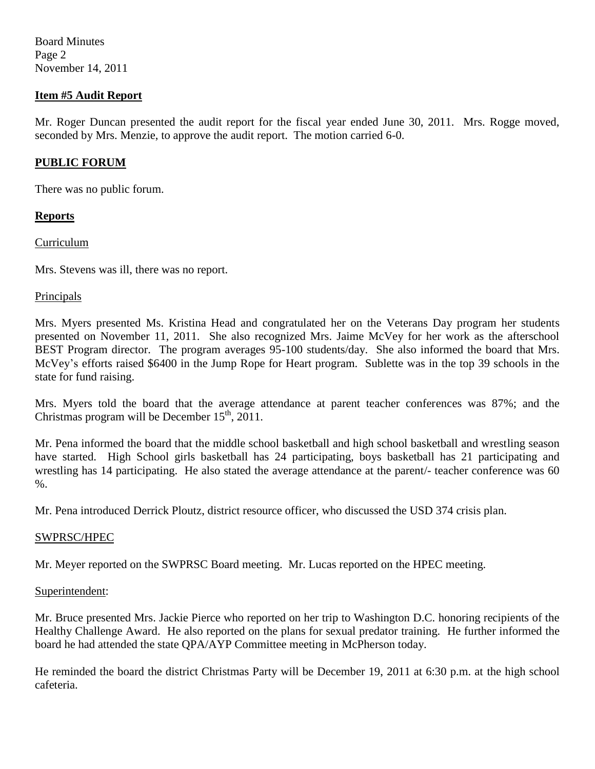Board Minutes Page 2 November 14, 2011

## **Item #5 Audit Report**

Mr. Roger Duncan presented the audit report for the fiscal year ended June 30, 2011. Mrs. Rogge moved, seconded by Mrs. Menzie, to approve the audit report. The motion carried 6-0.

### **PUBLIC FORUM**

There was no public forum.

### **Reports**

Curriculum

Mrs. Stevens was ill, there was no report.

#### Principals

Mrs. Myers presented Ms. Kristina Head and congratulated her on the Veterans Day program her students presented on November 11, 2011. She also recognized Mrs. Jaime McVey for her work as the afterschool BEST Program director. The program averages 95-100 students/day. She also informed the board that Mrs. McVey's efforts raised \$6400 in the Jump Rope for Heart program. Sublette was in the top 39 schools in the state for fund raising.

Mrs. Myers told the board that the average attendance at parent teacher conferences was 87%; and the Christmas program will be December  $15<sup>th</sup>$ , 2011.

Mr. Pena informed the board that the middle school basketball and high school basketball and wrestling season have started. High School girls basketball has 24 participating, boys basketball has 21 participating and wrestling has 14 participating. He also stated the average attendance at the parent/- teacher conference was 60 %.

Mr. Pena introduced Derrick Ploutz, district resource officer, who discussed the USD 374 crisis plan.

## SWPRSC/HPEC

Mr. Meyer reported on the SWPRSC Board meeting. Mr. Lucas reported on the HPEC meeting.

#### Superintendent:

Mr. Bruce presented Mrs. Jackie Pierce who reported on her trip to Washington D.C. honoring recipients of the Healthy Challenge Award. He also reported on the plans for sexual predator training. He further informed the board he had attended the state QPA/AYP Committee meeting in McPherson today.

He reminded the board the district Christmas Party will be December 19, 2011 at 6:30 p.m. at the high school cafeteria.